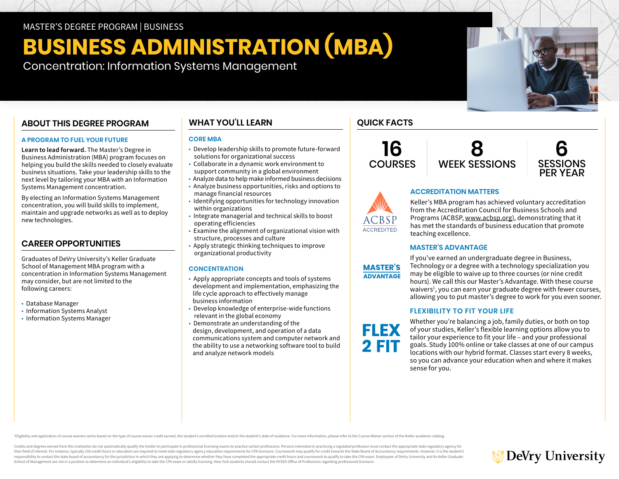MASTER'S DEGREE PROGRAM | BUSINESS

## **BUSINESS ADMINISTRATION (MBA)**

Concentration: Information Systems Management

## **ABOUT THIS DEGREE PROGRAM**

#### **A PROGRAM TO FUEL YOUR FUTURE**

**Learn to lead forward.** The Master's Degree in Business Administration (MBA) program focuses on helping you build the skills needed to closely evaluate business situations. Take your leadership skills to the next level by tailoring your MBA with an Information Systems Management concentration.

By electing an Information Systems Management concentration, you will build skills to implement, maintain and upgrade networks as well as to deploy new technologies.

## **CAREER OPPORTUNITIES**

Graduates of DeVry University's Keller Graduate School of Management MBA program with a concentration in Information Systems Management may consider, but are not limited to the following careers:

- Database Manager
- Information Systems Analyst
- Information Systems Manager

## **WHAT YOU'LL LEARN**

#### **CORE MBA**

- Develop leadership skills to promote future-forward solutions for organizational success
- Collaborate in a dynamic work environment to support community in a global environment
- Analyze data to help make informed business decisions
- Analyze business opportunities, risks and options to manage financial resources
- Identifying opportunities for technology innovation within organizations
- Integrate managerial and technical skills to boost operating efficiencies
- Examine the alignment of organizational vision with structure, processes and culture
- Apply strategic thinking techniques to improve organizational productivity

#### **CONCENTRATION**

- Apply appropriate concepts and tools of systems development and implementation, emphasizing the life cycle approach to effectively manage business information
- Develop knowledge of enterprise-wide functions relevant in the global economy
- Demonstrate an understanding of the design, development, and operation of a data communications system and computer network and the ability to use a networking software tool to build and analyze network models

## **QUICK FACTS**

**16 COURSES** 



**ACCREDITATION MATTERS**



# **ACCREDITED**

Keller's MBA program has achieved voluntary accreditation from the Accreditation Council for Business Schools and Programs (ACBSP, [www.acbsp.org](https://www.acbsp.org)), demonstrating that it has met the standards of business education that promote teaching excellence.

## **MASTER'S ADVANTAGE**



**FLEX** 2 FIT

If you've earned an undergraduate degree in Business, Technology or a degree with a technology specialization you may be eligible to waive up to three courses (or nine credit hours). We call this our Master's Advantage. With these course waivers<sup>1</sup>, you can earn your graduate degree with fewer courses, allowing you to put master's degree to work for you even sooner.

## **FLEXIBILITY TO FIT YOUR LIFE**

Whether you're balancing a job, family duties, or both on top of your studies, Keller's flexible learning options allow you to tailor your experience to fit your life – and your professional goals. Study 100% online or take classes at one of our campus locations with our hybrid format. Classes start every 8 weeks, so you can advance your education when and where it makes sense for you.

Eligibility and application of course waivers varies based on the type of course waiver credit earned, the student's enrolled location and/or the student's state of residence. For more information, please refer to the Cour

Credits and degrees earned from this institution do not automatically qualify the holder to participate in professional licensing exams to practice certain professions. Persons interested in practicing a regulated professi their field of interest. For instance, typically 150 credit hours or education are required to meet state regulatory agency education requirements for CPA licensure. Coursework may qualify for credit towards the State Boar responsibility to contact the state board of accountancy for the jurisdiction in which they are applying to determine whether they have completed the appropriate credit hours and coursework to qualify to take the CPA exam. School of Management are not in a position to determine an individual's eligibility to take the CPA exam or satisfy licensing. New York students should contact the NYSED Office of Professions regarding professional licensu